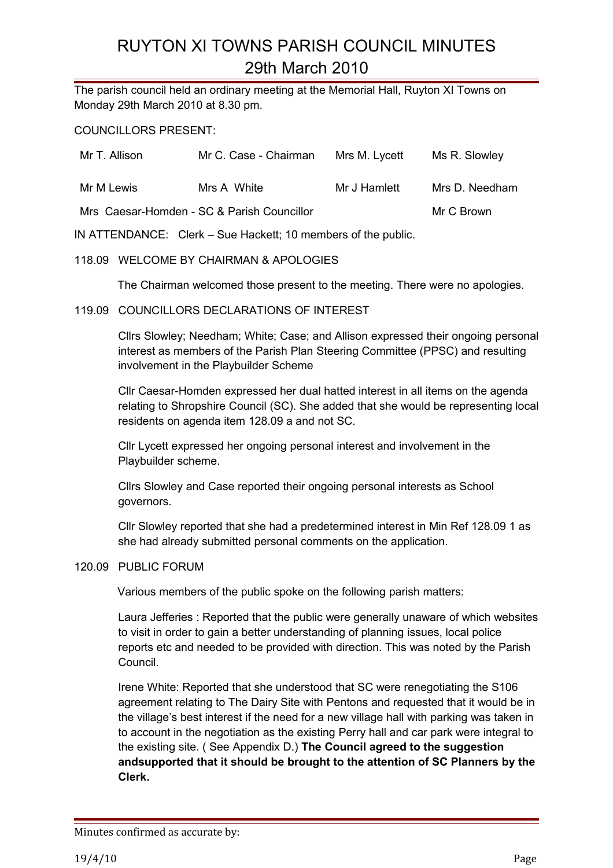The parish council held an ordinary meeting at the Memorial Hall, Ruyton XI Towns on Monday 29th March 2010 at 8.30 pm.

COUNCILLORS PRESENT:

| Mr T. Allison | Mr C. Case - Chairman                      | Mrs M. Lycett | Ms R. Slowley  |
|---------------|--------------------------------------------|---------------|----------------|
| Mr M Lewis    | Mrs A White                                | Mr J Hamlett  | Mrs D. Needham |
|               | Mrs Caesar-Homden - SC & Parish Councillor |               | Mr C Brown     |

IN ATTENDANCE: Clerk – Sue Hackett; 10 members of the public.

#### 118.09 WELCOME BY CHAIRMAN & APOLOGIES

The Chairman welcomed those present to the meeting. There were no apologies.

#### 119.09 COUNCILLORS DECLARATIONS OF INTEREST

Cllrs Slowley; Needham; White; Case; and Allison expressed their ongoing personal interest as members of the Parish Plan Steering Committee (PPSC) and resulting involvement in the Playbuilder Scheme

Cllr Caesar-Homden expressed her dual hatted interest in all items on the agenda relating to Shropshire Council (SC). She added that she would be representing local residents on agenda item 128.09 a and not SC.

Cllr Lycett expressed her ongoing personal interest and involvement in the Playbuilder scheme.

Cllrs Slowley and Case reported their ongoing personal interests as School governors.

Cllr Slowley reported that she had a predetermined interest in Min Ref 128.09 1 as she had already submitted personal comments on the application.

#### 120.09 PUBLIC FORUM

Various members of the public spoke on the following parish matters:

Laura Jefferies : Reported that the public were generally unaware of which websites to visit in order to gain a better understanding of planning issues, local police reports etc and needed to be provided with direction. This was noted by the Parish Council.

Irene White: Reported that she understood that SC were renegotiating the S106 agreement relating to The Dairy Site with Pentons and requested that it would be in the village's best interest if the need for a new village hall with parking was taken in to account in the negotiation as the existing Perry hall and car park were integral to the existing site. ( See Appendix D.) **The Council agreed to the suggestion andsupported that it should be brought to the attention of SC Planners by the Clerk.**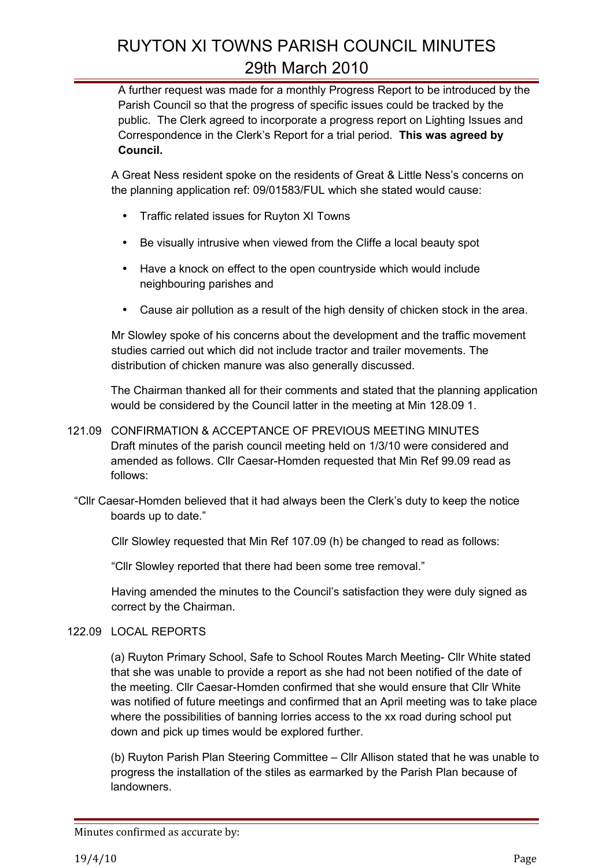A further request was made for a monthly Progress Report to be introduced by the Parish Council so that the progress of specific issues could be tracked by the public. The Clerk agreed to incorporate a progress report on Lighting Issues and Correspondence in the Clerk's Report for a trial period. **This was agreed by Council.**

A Great Ness resident spoke on the residents of Great & Little Ness's concerns on the planning application ref: 09/01583/FUL which she stated would cause:

- Traffic related issues for Ruyton XI Towns
- Be visually intrusive when viewed from the Cliffe a local beauty spot
- Have a knock on effect to the open countryside which would include neighbouring parishes and
- Cause air pollution as a result of the high density of chicken stock in the area.

Mr Slowley spoke of his concerns about the development and the traffic movement studies carried out which did not include tractor and trailer movements. The distribution of chicken manure was also generally discussed.

The Chairman thanked all for their comments and stated that the planning application would be considered by the Council latter in the meeting at Min 128.09 1.

- 121.09 CONFIRMATION & ACCEPTANCE OF PREVIOUS MEETING MINUTES Draft minutes of the parish council meeting held on 1/3/10 were considered and amended as follows. Cllr Caesar-Homden requested that Min Ref 99.09 read as follows:
	- "Cllr Caesar-Homden believed that it had always been the Clerk's duty to keep the notice boards up to date."

Cllr Slowley requested that Min Ref 107.09 (h) be changed to read as follows:

"Cllr Slowley reported that there had been some tree removal."

Having amended the minutes to the Council's satisfaction they were duly signed as correct by the Chairman.

## 122.09 LOCAL REPORTS

(a) Ruyton Primary School, Safe to School Routes March Meeting- Cllr White stated that she was unable to provide a report as she had not been notified of the date of the meeting. Cllr Caesar-Homden confirmed that she would ensure that Cllr White was notified of future meetings and confirmed that an April meeting was to take place where the possibilities of banning lorries access to the xx road during school put down and pick up times would be explored further.

(b) Ruyton Parish Plan Steering Committee – Cllr Allison stated that he was unable to progress the installation of the stiles as earmarked by the Parish Plan because of landowners.

Minutes confirmed as accurate by: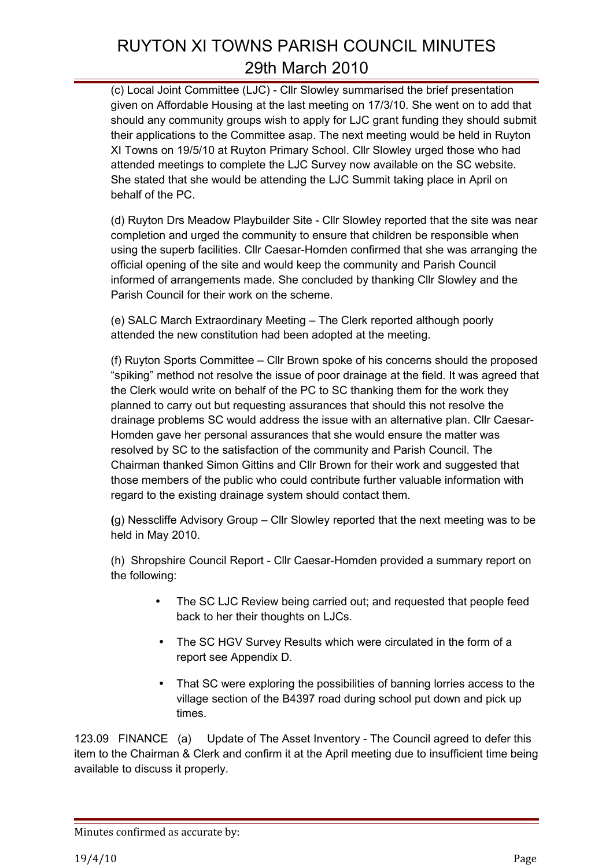(c) Local Joint Committee (LJC) - Cllr Slowley summarised the brief presentation given on Affordable Housing at the last meeting on 17/3/10. She went on to add that should any community groups wish to apply for LJC grant funding they should submit their applications to the Committee asap. The next meeting would be held in Ruyton XI Towns on 19/5/10 at Ruyton Primary School. Cllr Slowley urged those who had attended meetings to complete the LJC Survey now available on the SC website. She stated that she would be attending the LJC Summit taking place in April on behalf of the PC.

(d) Ruyton Drs Meadow Playbuilder Site - Cllr Slowley reported that the site was near completion and urged the community to ensure that children be responsible when using the superb facilities. Cllr Caesar-Homden confirmed that she was arranging the official opening of the site and would keep the community and Parish Council informed of arrangements made. She concluded by thanking Cllr Slowley and the Parish Council for their work on the scheme.

(e) SALC March Extraordinary Meeting – The Clerk reported although poorly attended the new constitution had been adopted at the meeting.

(f) Ruyton Sports Committee – Cllr Brown spoke of his concerns should the proposed "spiking" method not resolve the issue of poor drainage at the field. It was agreed that the Clerk would write on behalf of the PC to SC thanking them for the work they planned to carry out but requesting assurances that should this not resolve the drainage problems SC would address the issue with an alternative plan. Cllr Caesar-Homden gave her personal assurances that she would ensure the matter was resolved by SC to the satisfaction of the community and Parish Council. The Chairman thanked Simon Gittins and Cllr Brown for their work and suggested that those members of the public who could contribute further valuable information with regard to the existing drainage system should contact them.

**(**g) Nesscliffe Advisory Group – Cllr Slowley reported that the next meeting was to be held in May 2010.

(h) Shropshire Council Report - Cllr Caesar-Homden provided a summary report on the following:

- The SC LJC Review being carried out; and requested that people feed back to her their thoughts on LJCs.
- The SC HGV Survey Results which were circulated in the form of a report see Appendix D.
- That SC were exploring the possibilities of banning lorries access to the village section of the B4397 road during school put down and pick up times.

123.09 FINANCE (a) Update of The Asset Inventory - The Council agreed to defer this item to the Chairman & Clerk and confirm it at the April meeting due to insufficient time being available to discuss it properly.

Minutes confirmed as accurate by: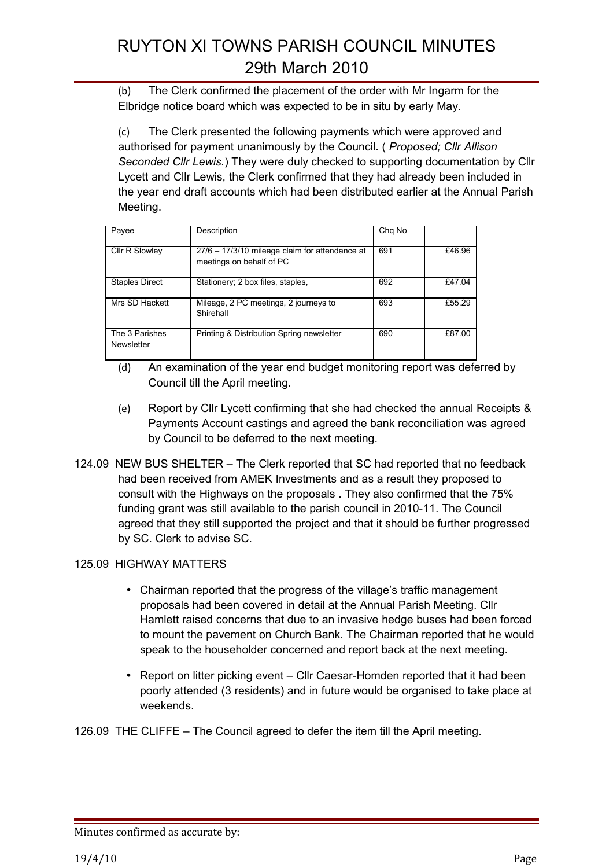(b) The Clerk confirmed the placement of the order with Mr Ingarm for the Elbridge notice board which was expected to be in situ by early May.

(c) The Clerk presented the following payments which were approved and authorised for payment unanimously by the Council. ( *Proposed; Cllr Allison Seconded Cllr Lewis.*) They were duly checked to supporting documentation by Cllr Lycett and Cllr Lewis, the Clerk confirmed that they had already been included in the year end draft accounts which had been distributed earlier at the Annual Parish Meeting.

| Payee                        | Description                                                                | Chg No |        |
|------------------------------|----------------------------------------------------------------------------|--------|--------|
| Cllr R Slowley               | 27/6 - 17/3/10 mileage claim for attendance at<br>meetings on behalf of PC | 691    | £46.96 |
| <b>Staples Direct</b>        | Stationery; 2 box files, staples,                                          | 692    | £47.04 |
| Mrs SD Hackett               | Mileage, 2 PC meetings, 2 journeys to<br>Shirehall                         | 693    | £55.29 |
| The 3 Parishes<br>Newsletter | Printing & Distribution Spring newsletter                                  | 690    | £87.00 |

- (d) An examination of the year end budget monitoring report was deferred by Council till the April meeting.
- (e) Report by Cllr Lycett confirming that she had checked the annual Receipts & Payments Account castings and agreed the bank reconciliation was agreed by Council to be deferred to the next meeting.
- 124.09 NEW BUS SHELTER The Clerk reported that SC had reported that no feedback had been received from AMEK Investments and as a result they proposed to consult with the Highways on the proposals . They also confirmed that the 75% funding grant was still available to the parish council in 2010-11. The Council agreed that they still supported the project and that it should be further progressed by SC. Clerk to advise SC.

## 125.09 HIGHWAY MATTERS

- Chairman reported that the progress of the village's traffic management proposals had been covered in detail at the Annual Parish Meeting. Cllr Hamlett raised concerns that due to an invasive hedge buses had been forced to mount the pavement on Church Bank. The Chairman reported that he would speak to the householder concerned and report back at the next meeting.
- Report on litter picking event Cllr Caesar-Homden reported that it had been poorly attended (3 residents) and in future would be organised to take place at weekends.

126.09 THE CLIFFE – The Council agreed to defer the item till the April meeting.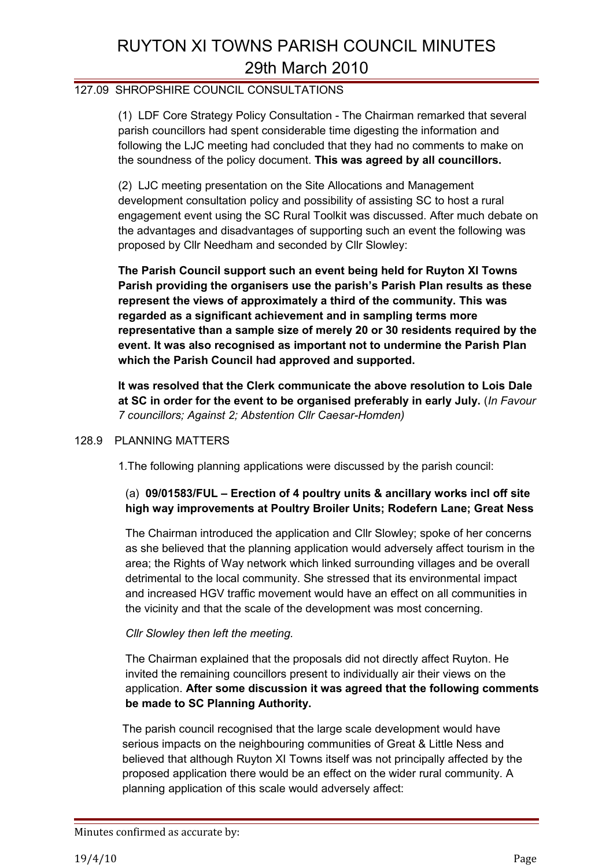### 127.09 SHROPSHIRE COUNCIL CONSULTATIONS

(1) LDF Core Strategy Policy Consultation - The Chairman remarked that several parish councillors had spent considerable time digesting the information and following the LJC meeting had concluded that they had no comments to make on the soundness of the policy document. **This was agreed by all councillors.**

(2) LJC meeting presentation on the Site Allocations and Management development consultation policy and possibility of assisting SC to host a rural engagement event using the SC Rural Toolkit was discussed. After much debate on the advantages and disadvantages of supporting such an event the following was proposed by Cllr Needham and seconded by Cllr Slowley:

**The Parish Council support such an event being held for Ruyton XI Towns Parish providing the organisers use the parish's Parish Plan results as these represent the views of approximately a third of the community. This was regarded as a significant achievement and in sampling terms more representative than a sample size of merely 20 or 30 residents required by the event. It was also recognised as important not to undermine the Parish Plan which the Parish Council had approved and supported.**

**It was resolved that the Clerk communicate the above resolution to Lois Dale at SC in order for the event to be organised preferably in early July.** (*In Favour 7 councillors; Against 2; Abstention Cllr Caesar-Homden)*

#### 128.9 PLANNING MATTERS

1.The following planning applications were discussed by the parish council:

## (a) **09/01583/FUL – Erection of 4 poultry units & ancillary works incl off site high way improvements at Poultry Broiler Units; Rodefern Lane; Great Ness**

The Chairman introduced the application and Cllr Slowley; spoke of her concerns as she believed that the planning application would adversely affect tourism in the area; the Rights of Way network which linked surrounding villages and be overall detrimental to the local community. She stressed that its environmental impact and increased HGV traffic movement would have an effect on all communities in the vicinity and that the scale of the development was most concerning.

#### *Cllr Slowley then left the meeting.*

The Chairman explained that the proposals did not directly affect Ruyton. He invited the remaining councillors present to individually air their views on the application. **After some discussion it was agreed that the following comments be made to SC Planning Authority.**

The parish council recognised that the large scale development would have serious impacts on the neighbouring communities of Great & Little Ness and believed that although Ruyton XI Towns itself was not principally affected by the proposed application there would be an effect on the wider rural community. A planning application of this scale would adversely affect: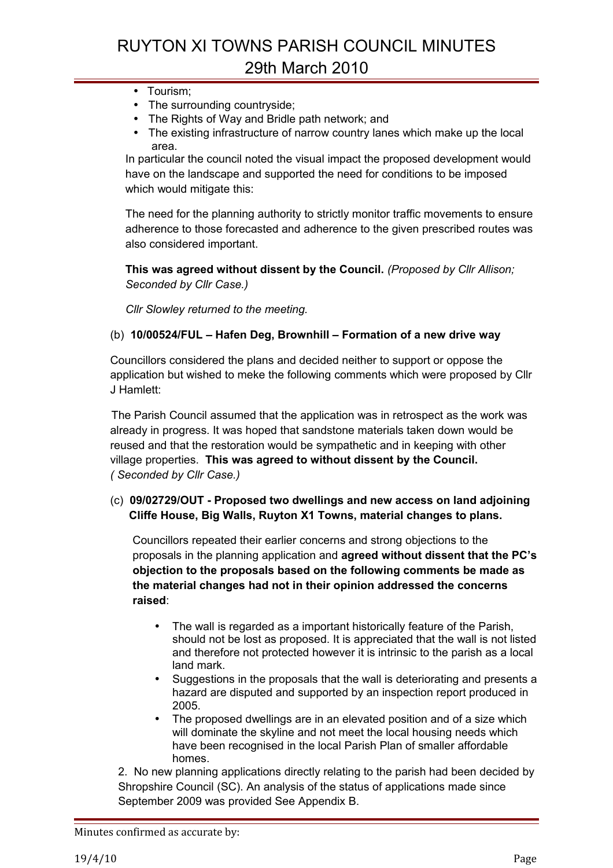- Tourism;
- The surrounding countryside;
- The Rights of Way and Bridle path network; and
- The existing infrastructure of narrow country lanes which make up the local area.

In particular the council noted the visual impact the proposed development would have on the landscape and supported the need for conditions to be imposed which would mitigate this:

The need for the planning authority to strictly monitor traffic movements to ensure adherence to those forecasted and adherence to the given prescribed routes was also considered important.

**This was agreed without dissent by the Council.** *(Proposed by Cllr Allison; Seconded by Cllr Case.)*

*Cllr Slowley returned to the meeting.*

#### (b) **10/00524/FUL – Hafen Deg, Brownhill – Formation of a new drive way**

Councillors considered the plans and decided neither to support or oppose the application but wished to meke the following comments which were proposed by Cllr J Hamlett:

The Parish Council assumed that the application was in retrospect as the work was already in progress. It was hoped that sandstone materials taken down would be reused and that the restoration would be sympathetic and in keeping with other village properties. **This was agreed to without dissent by the Council.** *( Seconded by Cllr Case.)*

## (c) **09/02729/OUT - Proposed two dwellings and new access on land adjoining Cliffe House, Big Walls, Ruyton X1 Towns, material changes to plans.**

Councillors repeated their earlier concerns and strong objections to the proposals in the planning application and **agreed without dissent that the PC's objection to the proposals based on the following comments be made as the material changes had not in their opinion addressed the concerns raised**:

- The wall is regarded as a important historically feature of the Parish, should not be lost as proposed. It is appreciated that the wall is not listed and therefore not protected however it is intrinsic to the parish as a local land mark.
- Suggestions in the proposals that the wall is deteriorating and presents a hazard are disputed and supported by an inspection report produced in 2005.
- The proposed dwellings are in an elevated position and of a size which will dominate the skyline and not meet the local housing needs which have been recognised in the local Parish Plan of smaller affordable homes.

2. No new planning applications directly relating to the parish had been decided by Shropshire Council (SC). An analysis of the status of applications made since September 2009 was provided See Appendix B.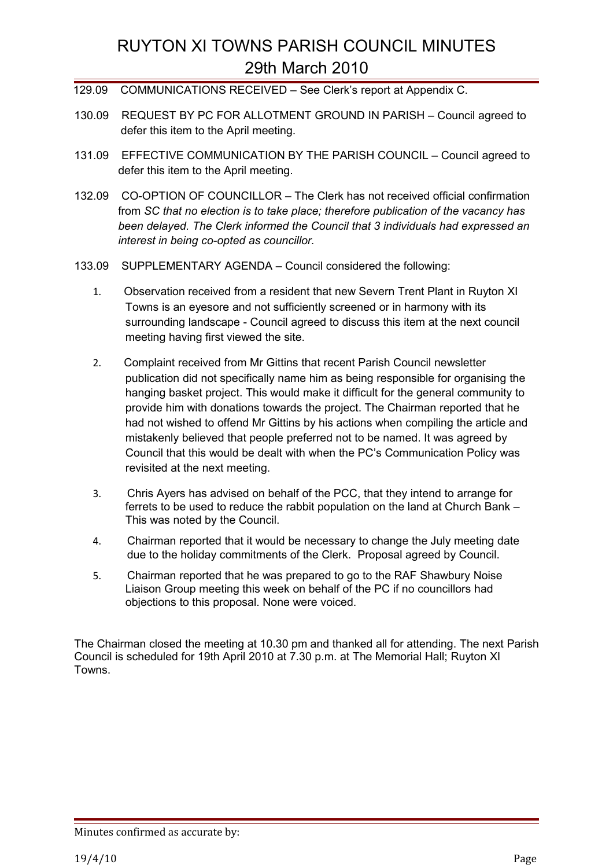- 129.09 COMMUNICATIONS RECEIVED See Clerk's report at Appendix C.
- 130.09 REQUEST BY PC FOR ALLOTMENT GROUND IN PARISH Council agreed to defer this item to the April meeting.
- 131.09 EFFECTIVE COMMUNICATION BY THE PARISH COUNCIL Council agreed to defer this item to the April meeting.
- 132.09 CO-OPTION OF COUNCILLOR The Clerk has not received official confirmation from *SC that no election is to take place; therefore publication of the vacancy has been delayed. The Clerk informed the Council that 3 individuals had expressed an interest in being co-opted as councillor.*
- 133.09 SUPPLEMENTARY AGENDA Council considered the following:
	- 1. Observation received from a resident that new Severn Trent Plant in Ruyton XI Towns is an eyesore and not sufficiently screened or in harmony with its surrounding landscape - Council agreed to discuss this item at the next council meeting having first viewed the site.
	- 2. Complaint received from Mr Gittins that recent Parish Council newsletter publication did not specifically name him as being responsible for organising the hanging basket project. This would make it difficult for the general community to provide him with donations towards the project. The Chairman reported that he had not wished to offend Mr Gittins by his actions when compiling the article and mistakenly believed that people preferred not to be named. It was agreed by Council that this would be dealt with when the PC's Communication Policy was revisited at the next meeting.
	- 3. Chris Ayers has advised on behalf of the PCC, that they intend to arrange for ferrets to be used to reduce the rabbit population on the land at Church Bank – This was noted by the Council.
	- 4. Chairman reported that it would be necessary to change the July meeting date due to the holiday commitments of the Clerk. Proposal agreed by Council.
	- 5. Chairman reported that he was prepared to go to the RAF Shawbury Noise Liaison Group meeting this week on behalf of the PC if no councillors had objections to this proposal. None were voiced.

The Chairman closed the meeting at 10.30 pm and thanked all for attending. The next Parish Council is scheduled for 19th April 2010 at 7.30 p.m. at The Memorial Hall; Ruyton XI Towns.

Minutes confirmed as accurate by: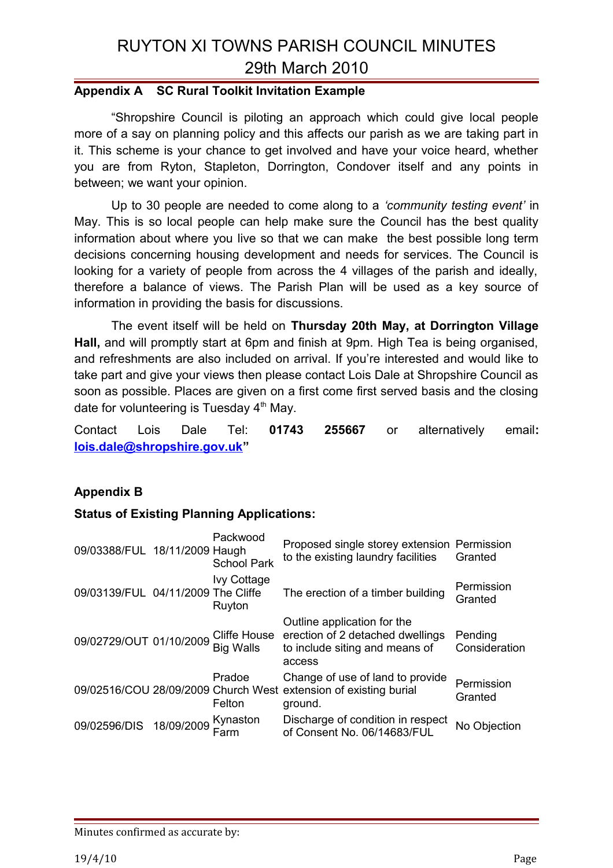## **Appendix A SC Rural Toolkit Invitation Example**

"Shropshire Council is piloting an approach which could give local people more of a say on planning policy and this affects our parish as we are taking part in it. This scheme is your chance to get involved and have your voice heard, whether you are from Ryton, Stapleton, Dorrington, Condover itself and any points in between; we want your opinion.

Up to 30 people are needed to come along to a *'community testing event'* in May. This is so local people can help make sure the Council has the best quality information about where you live so that we can make the best possible long term decisions concerning housing development and needs for services. The Council is looking for a variety of people from across the 4 villages of the parish and ideally, therefore a balance of views. The Parish Plan will be used as a key source of information in providing the basis for discussions.

The event itself will be held on **Thursday 20th May, at Dorrington Village Hall,** and will promptly start at 6pm and finish at 9pm. High Tea is being organised, and refreshments are also included on arrival. If you're interested and would like to take part and give your views then please contact Lois Dale at Shropshire Council as soon as possible. Places are given on a first come first served basis and the closing date for volunteering is Tuesday  $4<sup>th</sup>$  May.

Contact Lois Dale Tel: **01743 255667** or alternatively email**: [lois.dale@shropshire.gov.uk"](mailto:lois.dale@shropshire.gov.uk)**

## **Appendix B**

## **Status of Existing Planning Applications:**

| 09/03388/FUL 18/11/2009 Haugh      |            | Packwood<br><b>School Park</b>   | Proposed single storey extension Permission<br>to the existing laundry facilities                               | Granted                  |
|------------------------------------|------------|----------------------------------|-----------------------------------------------------------------------------------------------------------------|--------------------------|
| 09/03139/FUL 04/11/2009 The Cliffe |            | <b>Ivy Cottage</b><br>Ruyton     | The erection of a timber building                                                                               | Permission<br>Granted    |
| 09/02729/OUT 01/10/2009            |            | Cliffe House<br><b>Big Walls</b> | Outline application for the<br>erection of 2 detached dwellings<br>to include siting and means of<br>access     | Pending<br>Consideration |
|                                    |            | Pradoe<br>Felton                 | Change of use of land to provide<br>09/02516/COU 28/09/2009 Church West extension of existing burial<br>ground. | Permission<br>Granted    |
| 09/02596/DIS                       | 18/09/2009 | Kynaston<br>Farm                 | Discharge of condition in respect<br>of Consent No. 06/14683/FUL                                                | No Objection             |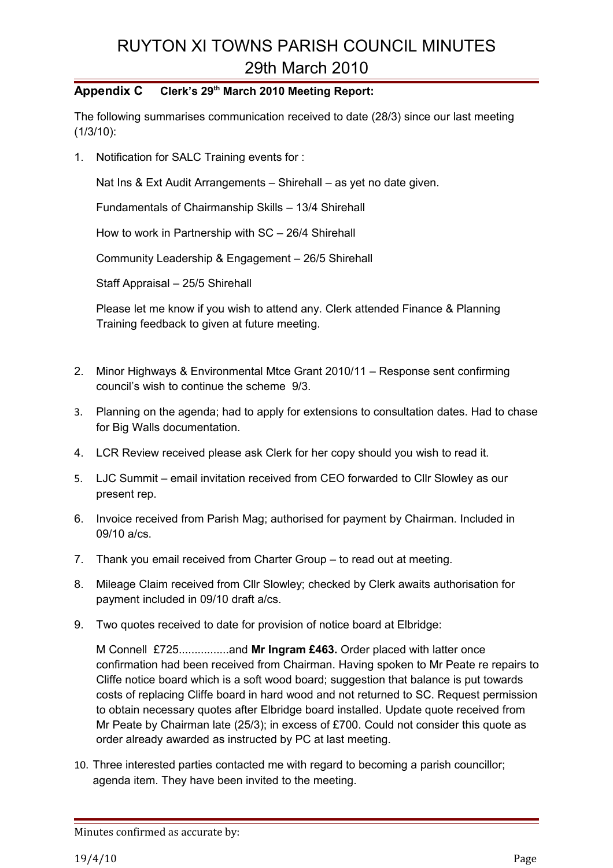## **Appendix C Clerk's 29th March 2010 Meeting Report:**

The following summarises communication received to date (28/3) since our last meeting (1/3/10):

1. Notification for SALC Training events for :

Nat Ins & Ext Audit Arrangements – Shirehall – as yet no date given.

Fundamentals of Chairmanship Skills – 13/4 Shirehall

How to work in Partnership with SC – 26/4 Shirehall

Community Leadership & Engagement – 26/5 Shirehall

Staff Appraisal – 25/5 Shirehall

Please let me know if you wish to attend any. Clerk attended Finance & Planning Training feedback to given at future meeting.

- 2. Minor Highways & Environmental Mtce Grant 2010/11 Response sent confirming council's wish to continue the scheme 9/3.
- 3. Planning on the agenda; had to apply for extensions to consultation dates. Had to chase for Big Walls documentation.
- 4. LCR Review received please ask Clerk for her copy should you wish to read it.
- 5. LJC Summit email invitation received from CEO forwarded to Cllr Slowley as our present rep.
- 6. Invoice received from Parish Mag; authorised for payment by Chairman. Included in 09/10 a/cs.
- 7. Thank you email received from Charter Group to read out at meeting.
- 8. Mileage Claim received from Cllr Slowley; checked by Clerk awaits authorisation for payment included in 09/10 draft a/cs.
- 9. Two quotes received to date for provision of notice board at Elbridge:

M Connell £725................and **Mr Ingram £463.** Order placed with latter once confirmation had been received from Chairman. Having spoken to Mr Peate re repairs to Cliffe notice board which is a soft wood board; suggestion that balance is put towards costs of replacing Cliffe board in hard wood and not returned to SC. Request permission to obtain necessary quotes after Elbridge board installed. Update quote received from Mr Peate by Chairman late (25/3); in excess of £700. Could not consider this quote as order already awarded as instructed by PC at last meeting.

10. Three interested parties contacted me with regard to becoming a parish councillor; agenda item. They have been invited to the meeting.